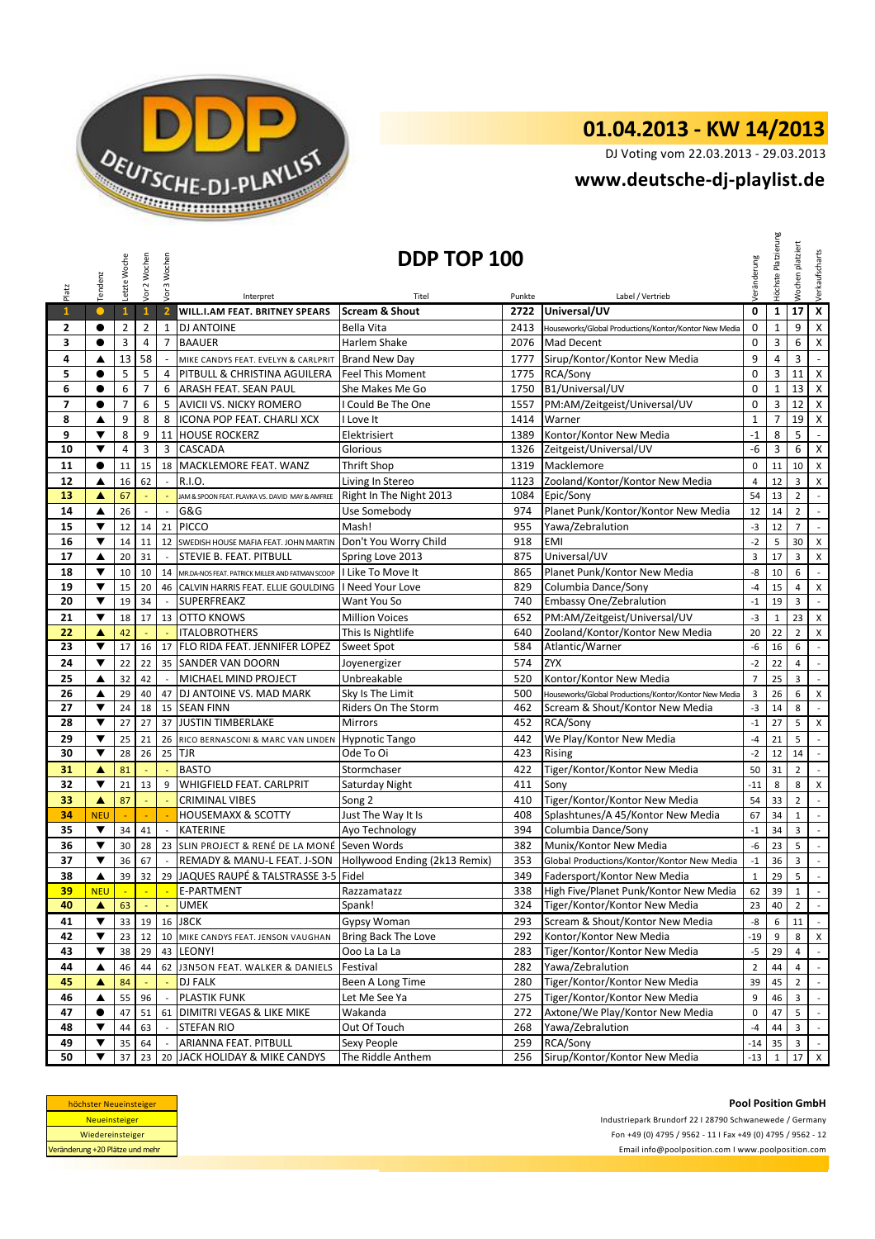

## **01.04.2013 - KW 14/2013**

DJ Voting vom 22.03.2013 - 29.03.2013

## **<www.deutsche-dj-playlist.de>**

|                          | Tendenz                            | Letzte Woche   | Vor 2 Wochen            | Vor 3 Wochen             |                                                                                                              | DDP TOP 100               |            |                                                                      | Veränderung    | Höchste Platzierung | platziert<br>Wochen     | Verkaufscharts                     |
|--------------------------|------------------------------------|----------------|-------------------------|--------------------------|--------------------------------------------------------------------------------------------------------------|---------------------------|------------|----------------------------------------------------------------------|----------------|---------------------|-------------------------|------------------------------------|
| Platz                    |                                    |                |                         |                          | Interpret                                                                                                    | Titel                     | Punkte     | Label / Vertrieb                                                     |                |                     |                         |                                    |
| $\mathbf{1}$             | $\bullet$                          | $\mathbf{1}$   | $\mathbf{1}$            | $\overline{2}$           | WILL.I.AM FEAT. BRITNEY SPEARS                                                                               | <b>Scream &amp; Shout</b> | 2722       | Universal/UV                                                         | $\mathbf 0$    | $\mathbf{1}$        | 17                      | $\overline{\mathbf{x}}$            |
| 2                        | $\bullet$                          | $\overline{2}$ | $\overline{2}$          | $\mathbf{1}$             | <b>DJ ANTOINE</b>                                                                                            | Bella Vita                | 2413       | Houseworks/Global Productions/Kontor/Kontor New Media                | $\mathbf 0$    | $1\,$               | 9                       | $\mathsf X$                        |
| 3                        | $\bullet$                          | 3              | $\overline{4}$          | $\overline{7}$           | <b>BAAUER</b>                                                                                                | Harlem Shake              | 2076       | Mad Decent                                                           | $\pmb{0}$      | 3                   | 6                       | $\pmb{\mathsf{X}}$                 |
| 4                        | ▲                                  | 13             | 58                      |                          | MIKE CANDYS FEAT. EVELYN & CARLPRIT Brand New Day                                                            |                           | 1777       | Sirup/Kontor/Kontor New Media                                        | 9              | 4                   | 3                       | $\blacksquare$                     |
| 5                        | $\bullet$                          | 5              | 5                       | $\overline{4}$           | PITBULL & CHRISTINA AGUILERA                                                                                 | <b>Feel This Moment</b>   | 1775       | RCA/Sony                                                             | $\mathbf 0$    | 3                   | 11                      | $\pmb{\mathsf{X}}$                 |
| 6                        | $\bullet$                          | 6              | $\overline{7}$          | 6                        | ARASH FEAT. SEAN PAUL                                                                                        | She Makes Me Go           | 1750       | B1/Universal/UV                                                      | $\mathbf 0$    | $\mathbf{1}$        | 13                      | $\pmb{\times}$                     |
| $\overline{\phantom{a}}$ | $\bullet$                          | 7              | 6                       | 5                        | <b>AVICII VS. NICKY ROMERO</b>                                                                               | I Could Be The One        | 1557       | PM:AM/Zeitgeist/Universal/UV                                         | $\pmb{0}$      | 3                   | 12 <sup>2</sup>         | $\pmb{\times}$                     |
| 8                        | ▲                                  | 9              | 8                       | 8                        | ICONA POP FEAT. CHARLI XCX                                                                                   | I Love It                 | 1414       | Warner                                                               | $\mathbf{1}$   | $\overline{7}$      | 19                      | $\pmb{\mathsf{X}}$                 |
| 9                        | ▼                                  | 8              | 9                       | 11                       | <b>HOUSE ROCKERZ</b>                                                                                         | Elektrisiert              | 1389       | Kontor/Kontor New Media                                              | $-1$           | 8                   | 5                       | $\omega$                           |
| 10                       | $\blacktriangledown$               | 4              | $\overline{\mathbf{3}}$ | 3                        | <b>CASCADA</b>                                                                                               | Glorious                  | 1326       | Zeitgeist/Universal/UV                                               | -6             | 3                   | 6                       | $\mathsf{X}$                       |
| 11                       | $\bullet$                          | 11             | 15                      | 18                       | MACKLEMORE FEAT. WANZ                                                                                        | <b>Thrift Shop</b>        | 1319       | Macklemore                                                           | 0              | 11                  | 10                      | X                                  |
| 12                       | ▲                                  | 16             | 62                      |                          | R.I.O.                                                                                                       | Living In Stereo          | 1123       | Zooland/Kontor/Kontor New Media                                      | $\overline{4}$ | 12                  | 3                       | $\pmb{\times}$                     |
| 13                       | ▲                                  | 67             |                         |                          | JAM & SPOON FEAT. PLAVKA VS. DAVID MAY & AMFREE                                                              | Right In The Night 2013   | 1084       | Epic/Sony                                                            | 54             | 13                  | $\overline{2}$          | $\mathcal{L}^{\mathcal{A}}$        |
| 14                       | ▲                                  | 26             | $\sim$                  | $\sim$                   | G&G                                                                                                          | Use Somebody              | 974        | Planet Punk/Kontor/Kontor New Media                                  | 12             | 14                  | $\overline{2}$          | $\mathcal{L}$                      |
| 15                       | $\blacktriangledown$               | 12             | 14                      | 21                       | <b>PICCO</b>                                                                                                 | Mash!                     | 955        | Yawa/Zebralution                                                     | $-3$           | 12                  | $\overline{7}$          | $\mathcal{L}$                      |
| 16                       | ▼                                  | 14             | 11                      | 12                       | SWEDISH HOUSE MAFIA FEAT. JOHN MARTIN                                                                        | Don't You Worry Child     | 918        | <b>EMI</b>                                                           | $-2$           | 5                   | 30                      | $\pmb{\mathsf{X}}$                 |
| 17                       | ▲                                  | 20             | 31                      |                          | STEVIE B. FEAT. PITBULL                                                                                      | Spring Love 2013          | 875        | Universal/UV                                                         | 3              | 17                  | 3                       | X                                  |
| 18                       | ▼                                  | 10             | 10                      | 14                       | MR.DA-NOS FEAT. PATRICK MILLER AND FATMAN SCOOP                                                              | I Like To Move It         | 865        | Planet Punk/Kontor New Media                                         | -8             | 10                  | 6                       | $\mathbb{Z}^2$                     |
| 19                       | $\blacktriangledown$               | 15             | 20                      | 46                       | CALVIN HARRIS FEAT. ELLIE GOULDING                                                                           | I Need Your Love          | 829        | Columbia Dance/Sony                                                  | $-4$           | 15                  | 4                       | $\pmb{\mathsf{X}}$                 |
| 20                       | ▼                                  | 19             | 34                      | $\overline{\phantom{a}}$ | <b>SUPERFREAKZ</b>                                                                                           | Want You So               | 740        | <b>Embassy One/Zebralution</b>                                       | $-1$           | 19                  | 3                       | $\mathbb{R}^2$                     |
| 21                       | ▼                                  | 18             | 17                      | 13                       | <b>OTTO KNOWS</b>                                                                                            | <b>Million Voices</b>     | 652        | PM:AM/Zeitgeist/Universal/UV                                         | $-3$           | $\mathbf{1}$        | 23                      | X                                  |
| 22                       | ▲                                  | 42             |                         |                          | <b>ITALOBROTHERS</b>                                                                                         | This Is Nightlife         | 640        | Zooland/Kontor/Kontor New Media                                      | 20             | 22                  | $\overline{2}$          | X                                  |
| 23                       | ▼                                  | 17             | 16                      | 17                       | FLO RIDA FEAT. JENNIFER LOPEZ                                                                                | <b>Sweet Spot</b>         | 584        | Atlantic/Warner                                                      | -6             | 16                  | 6                       | $\mathbb{Z}^2$                     |
| 24                       | ▼                                  | 22             | 22                      | 35                       | <b>SANDER VAN DOORN</b>                                                                                      | Joyenergizer              | 574        | <b>ZYX</b>                                                           | $-2$           | 22                  | 4                       | $\mathbb{Z}^{\mathbb{Z}}$          |
| 25                       | ▲                                  | 32             | 42                      | $\sim$                   | MICHAEL MIND PROJECT                                                                                         | Unbreakable               | 520        | Kontor/Kontor New Media                                              | $\overline{7}$ | 25                  | 3                       | $\mathcal{L}$                      |
| 26                       | ▲                                  | 29             | 40                      | 47                       | DJ ANTOINE VS. MAD MARK                                                                                      | Sky Is The Limit          | 500        | Houseworks/Global Productions/Kontor/Kontor New Media                | 3              | 26                  | 6                       | $\pmb{\mathsf{X}}$                 |
| 27                       | ▼                                  | 24             | 18                      | 15                       | <b>SEAN FINN</b>                                                                                             | Riders On The Storm       | 462        | Scream & Shout/Kontor New Media                                      | $-3$           | 14                  | 8                       | $\mathcal{L}$                      |
| 28                       | ▼                                  | 27             | 27                      | 37                       | <b>JUSTIN TIMBERLAKE</b>                                                                                     | <b>Mirrors</b>            | 452        | RCA/Sony                                                             | $-1$           | 27                  | 5                       | X                                  |
| 29                       | ▼                                  | 25             | 21                      | 26                       | RICO BERNASCONI & MARC VAN LINDEN                                                                            | <b>Hypnotic Tango</b>     | 442        | We Play/Kontor New Media                                             | $-4$           | 21                  | 5                       | $\mathbb{Z}^2$                     |
| 30                       | $\blacktriangledown$               | 28             | 26                      | 25                       | <b>TJR</b>                                                                                                   | Ode To Oi                 | 423        | <b>Rising</b>                                                        | $-2$           | 12                  | 14                      | $\mathbb{R}^2$                     |
| 31                       | ▲                                  | 81             | ÷,                      |                          | <b>BASTO</b>                                                                                                 | Stormchaser               | 422        | Tiger/Kontor/Kontor New Media                                        | 50             | 31                  | $\overline{2}$          | $\mathbb{Z}^{\mathbb{Z}}$          |
| 32                       | $\blacktriangledown$               | 21             | 13                      | 9                        | <b>WHIGFIELD FEAT. CARLPRIT</b>                                                                              | Saturday Night            | 411        | Sony                                                                 | $-11$          | 8                   | 8                       | $\pmb{\times}$                     |
| 33                       | ▲                                  | 87             |                         |                          | <b>CRIMINAL VIBES</b>                                                                                        | Song 2                    | 410        | Tiger/Kontor/Kontor New Media                                        | 54             | 33                  | $\overline{2}$          | $\mathbb{Z}^2$                     |
| 34                       | <b>NEU</b><br>$\blacktriangledown$ |                | ÷.                      |                          | <b>HOUSEMAXX &amp; SCOTTY</b><br><b>KATERINE</b>                                                             | Just The Way It Is        | 408        | Splashtunes/A 45/Kontor New Media                                    | 67             | 34                  | $\mathbf{1}$            | $\mathbb{R}^2$                     |
| 35<br>36                 | ▼                                  | 34             | 41                      | $\overline{\phantom{a}}$ |                                                                                                              | Ayo Technology            | 394        | Columbia Dance/Sony                                                  | $-1$           | 34                  | 3                       | $\mathbb{Z}^+$                     |
| 37                       | ▼                                  | 30<br>36       | 28<br>67                |                          | 23 SLIN PROJECT & RENÉ DE LA MONÉ Seven Words<br>REMADY & MANU-L FEAT. J-SON   Hollywood Ending (2k13 Remix) |                           | 382<br>353 | Munix/Kontor New Media<br>Global Productions/Kontor/Kontor New Media | -6<br>$-1$     | 23<br>36            | 5<br>3                  | $\sim$<br>$\overline{\phantom{a}}$ |
| 38                       | ▲                                  | 39             | 32                      | 29                       | JAQUES RAUPÉ & TALSTRASSE 3-5 Fidel                                                                          |                           | 349        | Fadersport/Kontor New Media                                          | $\mathbf{1}$   | 29                  | 5                       | $\mathcal{L}$                      |
| <u>39</u>                | <b>NEU</b>                         | $\sim$         | $\mathbb{Z}$            |                          | E-PARTMENT                                                                                                   | Razzamatazz               | 338        | High Five/Planet Punk/Kontor New Media                               | 62             | 39                  | 1                       | $\sigma$                           |
| 40                       | $\blacktriangle$                   | 63             |                         |                          | <b>UMEK</b>                                                                                                  | Spank!                    | 324        | Tiger/Kontor/Kontor New Media                                        | 23             | 40                  | $\overline{2}$          | $\mathbb{Z}^2$                     |
| 41                       | ▼                                  | 33             | 19                      |                          | 16 J8CK                                                                                                      | Gypsy Woman               | 293        | Scream & Shout/Kontor New Media                                      | -8             | 6                   | 11                      | $\sim$                             |
| 42                       | ▼                                  | 23             | 12                      | 10                       | MIKE CANDYS FEAT. JENSON VAUGHAN                                                                             | Bring Back The Love       | 292        | Kontor/Kontor New Media                                              | $-19$          | 9                   | 8                       | X                                  |
| 43                       | ▼                                  | 38             | 29                      | 43                       | LEONY!                                                                                                       | Ooo La La La              | 283        | Tiger/Kontor/Kontor New Media                                        | -5             | 29                  | 4                       | $\sim$                             |
| 44                       | ▲                                  | 46             | 44                      |                          | 62 J3N5ON FEAT. WALKER & DANIELS                                                                             | Festival                  | 282        | Yawa/Zebralution                                                     | $\overline{2}$ | 44                  | $\overline{4}$          | $\sim$                             |
| 45                       | ▲                                  | 84             |                         |                          | <b>DJ FALK</b>                                                                                               | Been A Long Time          | 280        | Tiger/Kontor/Kontor New Media                                        | 39             | 45                  | $\overline{2}$          | $\mathbb{Z}^{\mathbb{Z}}$          |
| 46                       | ▲                                  | 55             | 96                      |                          | PLASTIK FUNK                                                                                                 | Let Me See Ya             | 275        | Tiger/Kontor/Kontor New Media                                        | 9              | 46                  | $\mathbf{3}$            | $\sim$                             |
| 47                       | $\bullet$                          | 47             | 51                      | 61                       | DIMITRI VEGAS & LIKE MIKE                                                                                    | Wakanda                   | 272        | Axtone/We Play/Kontor New Media                                      | 0              | 47                  | 5                       | $\sim$                             |
| 48                       | ▼                                  | 44             | 63                      |                          | <b>STEFAN RIO</b>                                                                                            | Out Of Touch              | 268        | Yawa/Zebralution                                                     | $-4$           | 44                  | $\overline{\mathbf{3}}$ | $\mathbb{Z}^2$                     |
| 49                       | ▼                                  | 35             | 64                      |                          | ARIANNA FEAT. PITBULL                                                                                        | Sexy People               | 259        | RCA/Sony                                                             | $-14$          | 35                  | $\overline{\mathbf{3}}$ | $\sim$                             |
| 50                       | ▼                                  | 37             | 23                      |                          | 20 JACK HOLIDAY & MIKE CANDYS                                                                                | The Riddle Anthem         | 256        | Sirup/Kontor/Kontor New Media                                        | $-13$          | $\mathbf{1}$        |                         | $17$ X                             |

| höchster Neueinsteiger          |
|---------------------------------|
| <b>Neueinsteiger</b>            |
| Wiedereinsteiger                |
| Veränderung +20 Plätze und mehr |

**Pool Position GmbH** Industriepark Brundorf 22 I 28790 Schwanewede / Germany Fon +49 (0) 4795 / 9562 - 11 I Fax +49 (0) 4795 / 9562 - 12 <Email info@poolposition.com I www.poolposition.com>